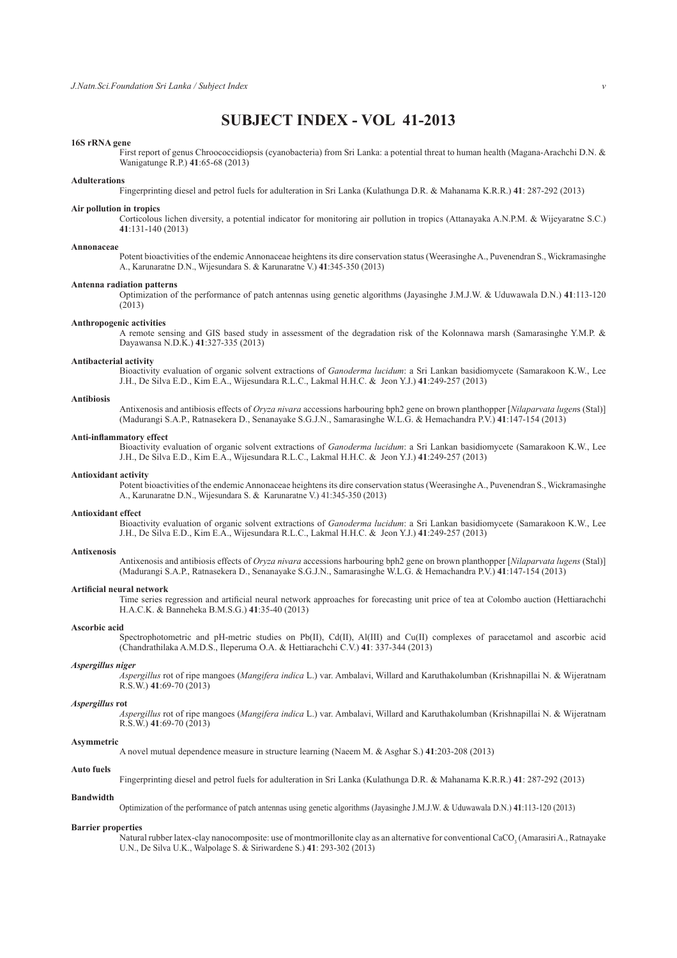# **SUBJECT INDEX - VOL 41-2013**

# **16S rRNA gene**

 First report of genus Chroococcidiopsis (cyanobacteria) from Sri Lanka: a potential threat to human health (Magana-Arachchi D.N. & Wanigatunge R.P.) **41**:65-68 (2013)

#### **Adulterations**

Fingerprinting diesel and petrol fuels for adulteration in Sri Lanka (Kulathunga D.R. & Mahanama K.R.R.) **41**: 287-292 (2013)

# **Air pollution in tropics**

 Corticolous lichen diversity, a potential indicator for monitoring air pollution in tropics (Attanayaka A.N.P.M. & Wijeyaratne S.C.) **41**:131-140 (2013)

#### **Annonaceae**

 Potent bioactivities of the endemic Annonaceae heightens its dire conservation status (Weerasinghe A., Puvenendran S., Wickramasinghe A., Karunaratne D.N., Wijesundara S. & Karunaratne V.) **41**:345-350 (2013)

#### **Antenna radiation patterns**

 Optimization of the performance of patch antennas using genetic algorithms (Jayasinghe J.M.J.W. & Uduwawala D.N.) **41**:113-120 (2013)

# **Anthropogenic activities**

 A remote sensing and GIS based study in assessment of the degradation risk of the Kolonnawa marsh (Samarasinghe Y.M.P. & Dayawansa N.D.K.) **41**:327-335 (2013)

#### **Antibacterial activity**

 Bioactivity evaluation of organic solvent extractions of *Ganoderma lucidum*: a Sri Lankan basidiomycete (Samarakoon K.W., Lee J.H., De Silva E.D., Kim E.A., Wijesundara R.L.C., Lakmal H.H.C. & Jeon Y.J.) **41**:249-257 (2013)

#### **Antibiosis**

 Antixenosis and antibiosis effects of *Oryza nivara* accessions harbouring bph2 gene on brown planthopper [*Nilaparvata lugen*s (Stal)] (Madurangi S.A.P., Ratnasekera D., Senanayake S.G.J.N., Samarasinghe W.L.G. & Hemachandra P.V.) **41**:147-154 (2013)

#### **Anti-inflammatory effect**

 Bioactivity evaluation of organic solvent extractions of *Ganoderma lucidum*: a Sri Lankan basidiomycete (Samarakoon K.W., Lee J.H., De Silva E.D., Kim E.A., Wijesundara R.L.C., Lakmal H.H.C. & Jeon Y.J.) **41**:249-257 (2013)

#### **Antioxidant activity**

 Potent bioactivities of the endemic Annonaceae heightens its dire conservation status (Weerasinghe A., Puvenendran S., Wickramasinghe A., Karunaratne D.N., Wijesundara S. & Karunaratne V.) 41:345-350 (2013)

#### **Antioxidant effect**

 Bioactivity evaluation of organic solvent extractions of *Ganoderma lucidum*: a Sri Lankan basidiomycete (Samarakoon K.W., Lee J.H., De Silva E.D., Kim E.A., Wijesundara R.L.C., Lakmal H.H.C. & Jeon Y.J.) **41**:249-257 (2013)

# **Antixenosis**

 Antixenosis and antibiosis effects of *Oryza nivara* accessions harbouring bph2 gene on brown planthopper [*Nilaparvata lugens* (Stal)] (Madurangi S.A.P., Ratnasekera D., Senanayake S.G.J.N., Samarasinghe W.L.G. & Hemachandra P.V.) **41**:147-154 (2013)

### **Artificial neural network**

 Time series regression and artificial neural network approaches for forecasting unit price of tea at Colombo auction (Hettiarachchi H.A.C.K. & Banneheka B.M.S.G.) **41**:35-40 (2013)

#### **Ascorbic acid**

 Spectrophotometric and pH-metric studies on Pb(II), Cd(II), Al(III) and Cu(II) complexes of paracetamol and ascorbic acid (Chandrathilaka A.M.D.S., Ileperuma O.A. & Hettiarachchi C.V.) **41**: 337-344 (2013)

# *Aspergillus niger*

*Aspergillus* rot of ripe mangoes (*Mangifera indica* L.) var. Ambalavi, Willard and Karuthakolumban (Krishnapillai N. & Wijeratnam R.S.W.) **41**:69-70 (2013)

# *Aspergillus* **rot**

*Aspergillus* rot of ripe mangoes (*Mangifera indica* L.) var. Ambalavi, Willard and Karuthakolumban (Krishnapillai N. & Wijeratnam R.S.W.) **41**:69-70 (2013)

#### **Asymmetric**

A novel mutual dependence measure in structure learning (Naeem M. & Asghar S.) **41**:203-208 (2013)

# **Auto fuels**

Fingerprinting diesel and petrol fuels for adulteration in Sri Lanka (Kulathunga D.R. & Mahanama K.R.R.) **41**: 287-292 (2013)

### **Bandwidth**

Optimization of the performance of patch antennas using genetic algorithms (Jayasinghe J.M.J.W. & Uduwawala D.N.) **41**:113-120 (2013)

# **Barrier properties**

Natural rubber latex-clay nanocomposite: use of montmorillonite clay as an alternative for conventional CaCO<sub>3</sub> (Amarasiri A., Ratnayake U.N., De Silva U.K., Walpolage S. & Siriwardene S.) **41**: 293-302 (2013)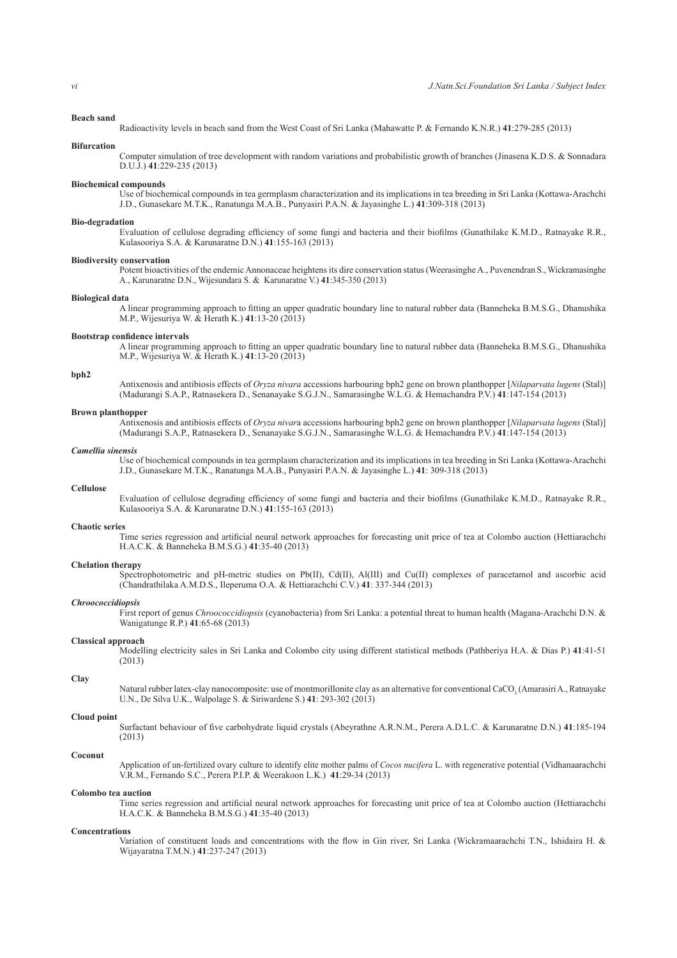# **Beach sand**

Radioactivity levels in beach sand from the West Coast of Sri Lanka (Mahawatte P. & Fernando K.N.R.) **41**:279-285 (2013)

**Bifurcation** Computer simulation of tree development with random variations and probabilistic growth of branches (Jinasena K.D.S. & Sonnadara

# D.U.J.) **41**:229-235 (2013)

# **Biochemical compounds**

 Use of biochemical compounds in tea germplasm characterization and its implications in tea breeding in Sri Lanka (Kottawa-Arachchi J.D., Gunasekare M.T.K., Ranatunga M.A.B., Punyasiri P.A.N. & Jayasinghe L.) **41**:309-318 (2013)

#### **Bio-degradation**

 Evaluation of cellulose degrading efficiency of some fungi and bacteria and their biofilms (Gunathilake K.M.D., Ratnayake R.R., Kulasooriya S.A. & Karunaratne D.N.) **41**:155-163 (2013)

# **Biodiversity conservation**

 Potent bioactivities of the endemic Annonaceae heightens its dire conservation status (Weerasinghe A., Puvenendran S., Wickramasinghe A., Karunaratne D.N., Wijesundara S. & Karunaratne V.) **41**:345-350 (2013)

#### **Biological data**

 A linear programming approach to fitting an upper quadratic boundary line to natural rubber data (Banneheka B.M.S.G., Dhanushika M.P., Wijesuriya W. & Herath K.) **41**:13-20 (2013)

# **Bootstrap confidence intervals**

 A linear programming approach to fitting an upper quadratic boundary line to natural rubber data (Banneheka B.M.S.G., Dhanushika M.P., Wijesuriya W. & Herath K.) **41**:13-20 (2013)

#### **bph2**

 Antixenosis and antibiosis effects of *Oryza nivara* accessions harbouring bph2 gene on brown planthopper [*Nilaparvata lugens* (Stal)] (Madurangi S.A.P., Ratnasekera D., Senanayake S.G.J.N., Samarasinghe W.L.G. & Hemachandra P.V.) **41**:147-154 (2013)

# **Brown planthopper**

 Antixenosis and antibiosis effects of *Oryza nivar*a accessions harbouring bph2 gene on brown planthopper [*Nilaparvata lugens* (Stal)] (Madurangi S.A.P., Ratnasekera D., Senanayake S.G.J.N., Samarasinghe W.L.G. & Hemachandra P.V.) **41**:147-154 (2013)

#### *Camellia sinensis*

 Use of biochemical compounds in tea germplasm characterization and its implications in tea breeding in Sri Lanka (Kottawa-Arachchi J.D., Gunasekare M.T.K., Ranatunga M.A.B., Punyasiri P.A.N. & Jayasinghe L.) **41**: 309-318 (2013)

# **Cellulose**

 Evaluation of cellulose degrading efficiency of some fungi and bacteria and their biofilms (Gunathilake K.M.D., Ratnayake R.R., Kulasooriya S.A. & Karunaratne D.N.) **41**:155-163 (2013)

#### **Chaotic series**

 Time series regression and artificial neural network approaches for forecasting unit price of tea at Colombo auction (Hettiarachchi H.A.C.K. & Banneheka B.M.S.G.) **41**:35-40 (2013)

# **Chelation therapy**

 Spectrophotometric and pH-metric studies on Pb(II), Cd(II), Al(III) and Cu(II) complexes of paracetamol and ascorbic acid (Chandrathilaka A.M.D.S., Ileperuma O.A. & Hettiarachchi C.V.) **41**: 337-344 (2013)

# *Chroococcidiopsis*

 First report of genus *Chroococcidiopsis* (cyanobacteria) from Sri Lanka: a potential threat to human health (Magana-Arachchi D.N. & Wanigatunge R.P.) **41**:65-68 (2013)

# **Classical approach**

 Modelling electricity sales in Sri Lanka and Colombo city using different statistical methods (Pathberiya H.A. & Dias P.) **41**:41-51 (2013)

# **Clay**

Natural rubber latex-clay nanocomposite: use of montmorillonite clay as an alternative for conventional CaCO<sub>3</sub> (Amarasiri A., Ratnayake U.N., De Silva U.K., Walpolage S. & Siriwardene S.) **41**: 293-302 (2013)

#### **Cloud point**

 Surfactant behaviour of five carbohydrate liquid crystals (Abeyrathne A.R.N.M., Perera A.D.L.C. & Karunaratne D.N.) **41**:185-194 (2013)

# **Coconut**

Application of un-fertilized ovary culture to identify elite mother palms of *Cocos nucifera* L. with regenerative potential (Vidhanaarachchi V.R.M., Fernando S.C., Perera P.I.P. & Weerakoon L.K.) **41**:29-34 (2013)

#### **Colombo tea auction**

 Time series regression and artificial neural network approaches for forecasting unit price of tea at Colombo auction (Hettiarachchi H.A.C.K. & Banneheka B.M.S.G.) **41**:35-40 (2013)

#### **Concentrations**

 Variation of constituent loads and concentrations with the flow in Gin river, Sri Lanka (Wickramaarachchi T.N., Ishidaira H. & Wijayaratna T.M.N.) **41**:237-247 (2013)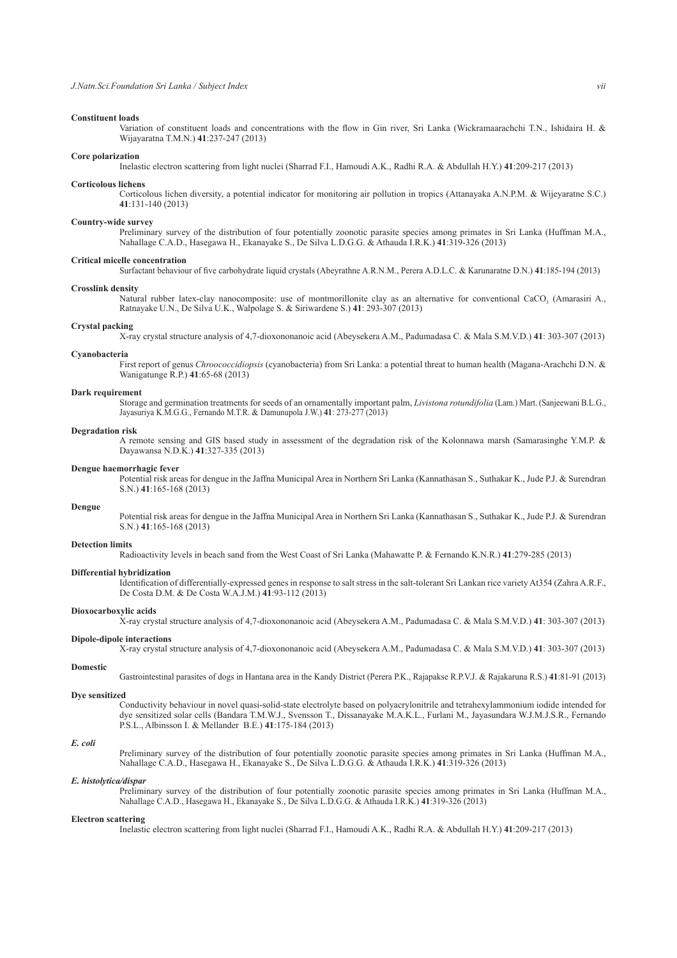# **Constituent loads**

 Variation of constituent loads and concentrations with the flow in Gin river, Sri Lanka (Wickramaarachchi T.N., Ishidaira H. & Wijayaratna T.M.N.) **41**:237-247 (2013)

# **Core polarization**

Inelastic electron scattering from light nuclei (Sharrad F.I., Hamoudi A.K., Radhi R.A. & Abdullah H.Y.) **41**:209-217 (2013)

#### **Corticolous lichens**

 Corticolous lichen diversity, a potential indicator for monitoring air pollution in tropics (Attanayaka A.N.P.M. & Wijeyaratne S.C.) **41**:131-140 (2013)

#### **Country-wide survey**

 Preliminary survey of the distribution of four potentially zoonotic parasite species among primates in Sri Lanka (Huffman M.A., Nahallage C.A.D., Hasegawa H., Ekanayake S., De Silva L.D.G.G. & Athauda I.R.K.) **41**:319-326 (2013)

#### **Critical micelle concentration**

Surfactant behaviour of five carbohydrate liquid crystals (Abeyrathne A.R.N.M., Perera A.D.L.C. & Karunaratne D.N.) **41**:185-194 (2013)

#### **Crosslink density**

Natural rubber latex-clay nanocomposite: use of montmorillonite clay as an alternative for conventional CaCO<sub>3</sub> (Amarasiri A., Ratnayake U.N., De Silva U.K., Walpolage S. & Siriwardene S.) **41**: 293-307 (2013)

#### **Crystal packing**

X-ray crystal structure analysis of 4,7-dioxononanoic acid (Abeysekera A.M., Padumadasa C. & Mala S.M.V.D.) **41**: 303-307 (2013)

# **Cyanobacteria**

 First report of genus *Chroococcidiopsis* (cyanobacteria) from Sri Lanka: a potential threat to human health (Magana-Arachchi D.N. & Wanigatunge R.P.) **41**:65-68 (2013)

# **Dark requirement**

 Storage and germination treatments for seeds of an ornamentally important palm, *Livistona rotundifolia* (Lam.) Mart. (Sanjeewani B.L.G., Jayasuriya K.M.G.G., Fernando M.T.R. & Damunupola J.W.) **41**: 273-277 (2013)

# **Degradation risk**

 A remote sensing and GIS based study in assessment of the degradation risk of the Kolonnawa marsh (Samarasinghe Y.M.P. & Dayawansa N.D.K.) **41**:327-335 (2013)

# **Dengue haemorrhagic fever**

 Potential risk areas for dengue in the Jaffna Municipal Area in Northern Sri Lanka (Kannathasan S., Suthakar K., Jude P.J. & Surendran S.N.) **41**:165-168 (2013)

# **Dengue**

 Potential risk areas for dengue in the Jaffna Municipal Area in Northern Sri Lanka (Kannathasan S., Suthakar K., Jude P.J. & Surendran S.N.) **41**:165-168 (2013)

#### **Detection limits**

Radioactivity levels in beach sand from the West Coast of Sri Lanka (Mahawatte P. & Fernando K.N.R.) **41**:279-285 (2013)

#### **Differential hybridization**

 Identification of differentially-expressed genes in response to salt stress in the salt-tolerant Sri Lankan rice variety At354 (Zahra A.R.F., De Costa D.M. & De Costa W.A.J.M.) **41**:93-112 (2013)

#### **Dioxocarboxylic acids**

X-ray crystal structure analysis of 4,7-dioxononanoic acid (Abeysekera A.M., Padumadasa C. & Mala S.M.V.D.) **41**: 303-307 (2013)

#### **Dipole-dipole interactions**

X-ray crystal structure analysis of 4,7-dioxononanoic acid (Abeysekera A.M., Padumadasa C. & Mala S.M.V.D.) **41**: 303-307 (2013)

# **Domestic**

Gastrointestinal parasites of dogs in Hantana area in the Kandy District (Perera P.K., Rajapakse R.P.V.J. & Rajakaruna R.S.) **41**:81-91 (2013)

#### **Dye sensitized**

 Conductivity behaviour in novel quasi-solid-state electrolyte based on polyacrylonitrile and tetrahexylammonium iodide intended for dye sensitized solar cells (Bandara T.M.W.J., Svensson T., Dissanayake M.A.K.L., Furlani M., Jayasundara W.J.M.J.S.R., Fernando P.S.L., Albinsson I. & Mellander B.E.) **41**:175-184 (2013)

# *E. coli*

 Preliminary survey of the distribution of four potentially zoonotic parasite species among primates in Sri Lanka (Huffman M.A., Nahallage C.A.D., Hasegawa H., Ekanayake S., De Silva L.D.G.G. & Athauda I.R.K.) **41**:319-326 (2013)

#### *E. histolytica/dispar*

 Preliminary survey of the distribution of four potentially zoonotic parasite species among primates in Sri Lanka (Huffman M.A., Nahallage C.A.D., Hasegawa H., Ekanayake S., De Silva L.D.G.G. & Athauda I.R.K.) **41**:319-326 (2013)

#### **Electron scattering**

Inelastic electron scattering from light nuclei (Sharrad F.I., Hamoudi A.K., Radhi R.A. & Abdullah H.Y.) **41**:209-217 (2013)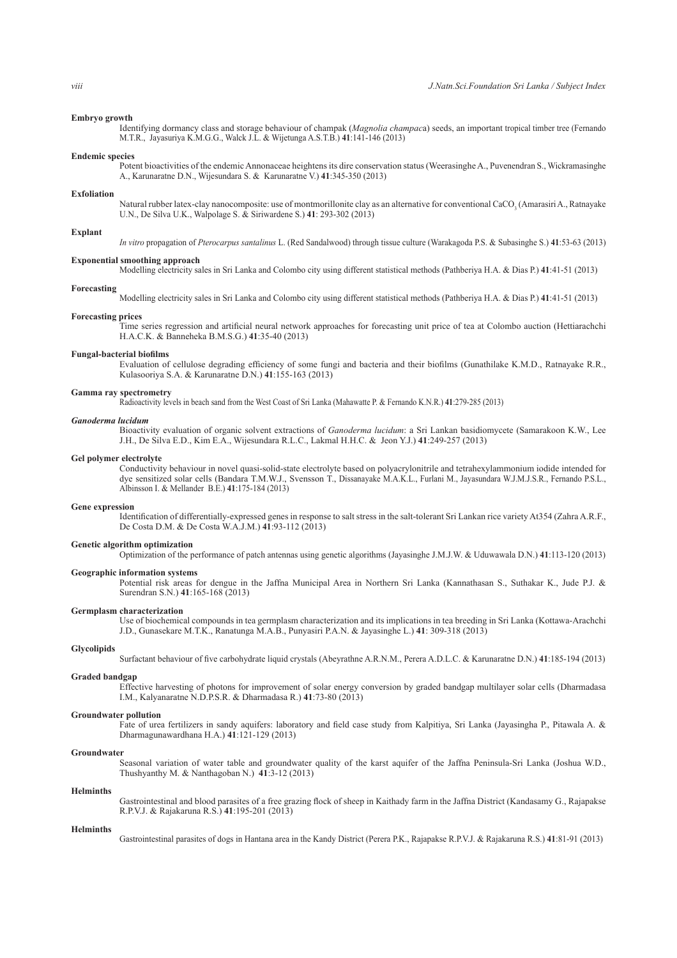# **Embryo growth**

 Identifying dormancy class and storage behaviour of champak (*Magnolia champac*a) seeds, an important tropical timber tree (Fernando M.T.R., Jayasuriya K.M.G.G., Walck J.L. & Wijetunga A.S.T.B.) **41**:141-146 (2013)

# **Endemic species**

 Potent bioactivities of the endemic Annonaceae heightens its dire conservation status (Weerasinghe A., Puvenendran S., Wickramasinghe A., Karunaratne D.N., Wijesundara S. & Karunaratne V.) **41**:345-350 (2013)

# **Exfoliation**

Natural rubber latex-clay nanocomposite: use of montmorillonite clay as an alternative for conventional CaCO<sub>3</sub> (Amarasiri A., Ratnayake U.N., De Silva U.K., Walpolage S. & Siriwardene S.) **41**: 293-302 (2013)

#### **Explant**

*In vitro* propagation of *Pterocarpus santalinus* L. (Red Sandalwood) through tissue culture (Warakagoda P.S. & Subasinghe S.) **41**:53-63 (2013)

#### **Exponential smoothing approach**

Modelling electricity sales in Sri Lanka and Colombo city using different statistical methods (Pathberiya H.A. & Dias P.) **41**:41-51 (2013)

# **Forecasting**

Modelling electricity sales in Sri Lanka and Colombo city using different statistical methods (Pathberiya H.A. & Dias P.) **41**:41-51 (2013)

# **Forecasting prices**

 Time series regression and artificial neural network approaches for forecasting unit price of tea at Colombo auction (Hettiarachchi H.A.C.K. & Banneheka B.M.S.G.) **41**:35-40 (2013)

**Fungal-bacterial biofilms** 

 Evaluation of cellulose degrading efficiency of some fungi and bacteria and their biofilms (Gunathilake K.M.D., Ratnayake R.R., Kulasooriya S.A. & Karunaratne D.N.) **41**:155-163 (2013)

# **Gamma ray spectrometry**

Radioactivity levels in beach sand from the West Coast of Sri Lanka (Mahawatte P. & Fernando K.N.R.) **41**:279-285 (2013)

#### *Ganoderma lucidum*

 Bioactivity evaluation of organic solvent extractions of *Ganoderma lucidum*: a Sri Lankan basidiomycete (Samarakoon K.W., Lee J.H., De Silva E.D., Kim E.A., Wijesundara R.L.C., Lakmal H.H.C. & Jeon Y.J.) **41**:249-257 (2013)

#### **Gel polymer electrolyte**

 Conductivity behaviour in novel quasi-solid-state electrolyte based on polyacrylonitrile and tetrahexylammonium iodide intended for dye sensitized solar cells (Bandara T.M.W.J., Svensson T., Dissanayake M.A.K.L., Furlani M., Jayasundara W.J.M.J.S.R., Fernando P.S.L., Albinsson I. & Mellander B.E.) **41**:175-184 (2013)

#### **Gene expression**

 Identification of differentially-expressed genes in response to salt stress in the salt-tolerant Sri Lankan rice variety At354 (Zahra A.R.F., De Costa D.M. & De Costa W.A.J.M.) **41**:93-112 (2013)

# **Genetic algorithm optimization**

Optimization of the performance of patch antennas using genetic algorithms (Jayasinghe J.M.J.W. & Uduwawala D.N.) **41**:113-120 (2013)

#### **Geographic information systems**

 Potential risk areas for dengue in the Jaffna Municipal Area in Northern Sri Lanka (Kannathasan S., Suthakar K., Jude P.J. & Surendran S.N.) **41**:165-168 (2013)

# **Germplasm characterization**

 Use of biochemical compounds in tea germplasm characterization and its implications in tea breeding in Sri Lanka (Kottawa-Arachchi J.D., Gunasekare M.T.K., Ranatunga M.A.B., Punyasiri P.A.N. & Jayasinghe L.) **41**: 309-318 (2013)

#### **Glycolipids**

Surfactant behaviour of five carbohydrate liquid crystals (Abeyrathne A.R.N.M., Perera A.D.L.C. & Karunaratne D.N.) **41**:185-194 (2013)

# **Graded bandgap**

 Effective harvesting of photons for improvement of solar energy conversion by graded bandgap multilayer solar cells (Dharmadasa I.M., Kalyanaratne N.D.P.S.R. & Dharmadasa R.) **41**:73-80 (2013)

# **Groundwater pollution**

 Fate of urea fertilizers in sandy aquifers: laboratory and field case study from Kalpitiya, Sri Lanka (Jayasingha P., Pitawala A. & Dharmagunawardhana H.A.) **41**:121-129 (2013)

# **Groundwater**

 Seasonal variation of water table and groundwater quality of the karst aquifer of the Jaffna Peninsula-Sri Lanka (Joshua W.D., Thushyanthy M. & Nanthagoban N.) **41**:3-12 (2013)

# **Helminths**

 Gastrointestinal and blood parasites of a free grazing flock of sheep in Kaithady farm in the Jaffna District (Kandasamy G., Rajapakse R.P.V.J. & Rajakaruna R.S.) **41**:195-201 (2013)

#### **Helminths**

Gastrointestinal parasites of dogs in Hantana area in the Kandy District (Perera P.K., Rajapakse R.P.V.J. & Rajakaruna R.S.) **41**:81-91 (2013)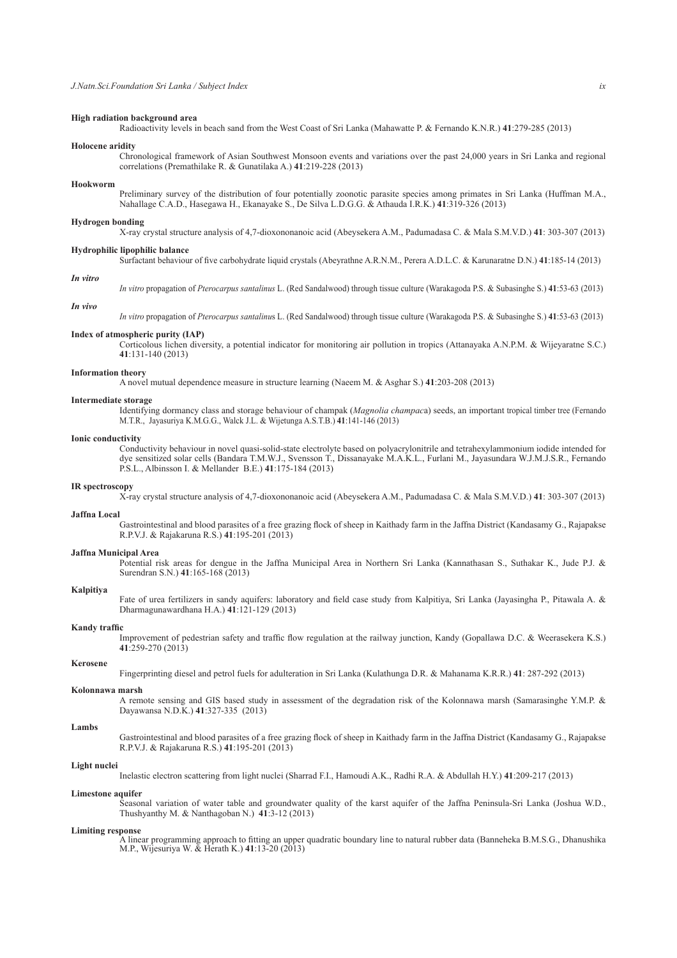# **High radiation background area**

Radioactivity levels in beach sand from the West Coast of Sri Lanka (Mahawatte P. & Fernando K.N.R.) **41**:279-285 (2013)

# **Holocene aridity**

 Chronological framework of Asian Southwest Monsoon events and variations over the past 24,000 years in Sri Lanka and regional correlations (Premathilake R. & Gunatilaka A.) **41**:219-228 (2013)

#### **Hookworm**

 Preliminary survey of the distribution of four potentially zoonotic parasite species among primates in Sri Lanka (Huffman M.A., Nahallage C.A.D., Hasegawa H., Ekanayake S., De Silva L.D.G.G. & Athauda I.R.K.) **41**:319-326 (2013)

#### **Hydrogen bonding**

X-ray crystal structure analysis of 4,7-dioxononanoic acid (Abeysekera A.M., Padumadasa C. & Mala S.M.V.D.) **41**: 303-307 (2013)

#### **Hydrophilic lipophilic balance**

Surfactant behaviour of five carbohydrate liquid crystals (Abeyrathne A.R.N.M., Perera A.D.L.C. & Karunaratne D.N.) **41**:185-14 (2013)

# *In vitro*

*In vitro* propagation of *Pterocarpus santalinus* L. (Red Sandalwood) through tissue culture (Warakagoda P.S. & Subasinghe S.) **41**:53-63 (2013)

# *In vivo*

*In vitro* propagation of *Pterocarpus santalinu*s L. (Red Sandalwood) through tissue culture (Warakagoda P.S. & Subasinghe S.) **41**:53-63 (2013)

#### **Index of atmospheric purity (IAP)**

 Corticolous lichen diversity, a potential indicator for monitoring air pollution in tropics (Attanayaka A.N.P.M. & Wijeyaratne S.C.) **41**:131-140 (2013)

#### **Information theory**

A novel mutual dependence measure in structure learning (Naeem M. & Asghar S.) **41**:203-208 (2013)

#### **Intermediate storage**

 Identifying dormancy class and storage behaviour of champak (*Magnolia champac*a) seeds, an important tropical timber tree (Fernando M.T.R., Jayasuriya K.M.G.G., Walck J.L. & Wijetunga A.S.T.B.) **41**:141-146 (2013)

#### **Ionic conductivity**

 Conductivity behaviour in novel quasi-solid-state electrolyte based on polyacrylonitrile and tetrahexylammonium iodide intended for dye sensitized solar cells (Bandara T.M.W.J., Svensson T., Dissanayake M.A.K.L., Furlani M., Jayasundara W.J.M.J.S.R., Fernando P.S.L., Albinsson I. & Mellander B.E.) **41**:175-184 (2013)

#### **IR spectroscopy**

X-ray crystal structure analysis of 4,7-dioxononanoic acid (Abeysekera A.M., Padumadasa C. & Mala S.M.V.D.) **41**: 303-307 (2013)

# **Jaffna Local**

 Gastrointestinal and blood parasites of a free grazing flock of sheep in Kaithady farm in the Jaffna District (Kandasamy G., Rajapakse R.P.V.J. & Rajakaruna R.S.) **41**:195-201 (2013)

# **Jaffna Municipal Area**

 Potential risk areas for dengue in the Jaffna Municipal Area in Northern Sri Lanka (Kannathasan S., Suthakar K., Jude P.J. & Surendran S.N.) **41**:165-168 (2013)

# **Kalpitiya**

 Fate of urea fertilizers in sandy aquifers: laboratory and field case study from Kalpitiya, Sri Lanka (Jayasingha P., Pitawala A. & Dharmagunawardhana H.A.) **41**:121-129 (2013)

#### **Kandy traffic**

 Improvement of pedestrian safety and traffic flow regulation at the railway junction, Kandy (Gopallawa D.C. & Weerasekera K.S.) **41**:259-270 (2013)

#### **Kerosene**

Fingerprinting diesel and petrol fuels for adulteration in Sri Lanka (Kulathunga D.R. & Mahanama K.R.R.) **41**: 287-292 (2013)

#### **Kolonnawa marsh**

 A remote sensing and GIS based study in assessment of the degradation risk of the Kolonnawa marsh (Samarasinghe Y.M.P. & Dayawansa N.D.K.) **41**:327-335 (2013)

# **Lambs**

 Gastrointestinal and blood parasites of a free grazing flock of sheep in Kaithady farm in the Jaffna District (Kandasamy G., Rajapakse R.P.V.J. & Rajakaruna R.S.) **41**:195-201 (2013)

# **Light nuclei**

Inelastic electron scattering from light nuclei (Sharrad F.I., Hamoudi A.K., Radhi R.A. & Abdullah H.Y.) **41**:209-217 (2013)

# **Limestone aquifer**

 Seasonal variation of water table and groundwater quality of the karst aquifer of the Jaffna Peninsula-Sri Lanka (Joshua W.D., Thushyanthy M. & Nanthagoban N.) **41**:3-12 (2013)

#### **Limiting response**

 A linear programming approach to fitting an upper quadratic boundary line to natural rubber data (Banneheka B.M.S.G., Dhanushika M.P., Wijesuriya W. & Herath K.) **41**:13-20 (2013)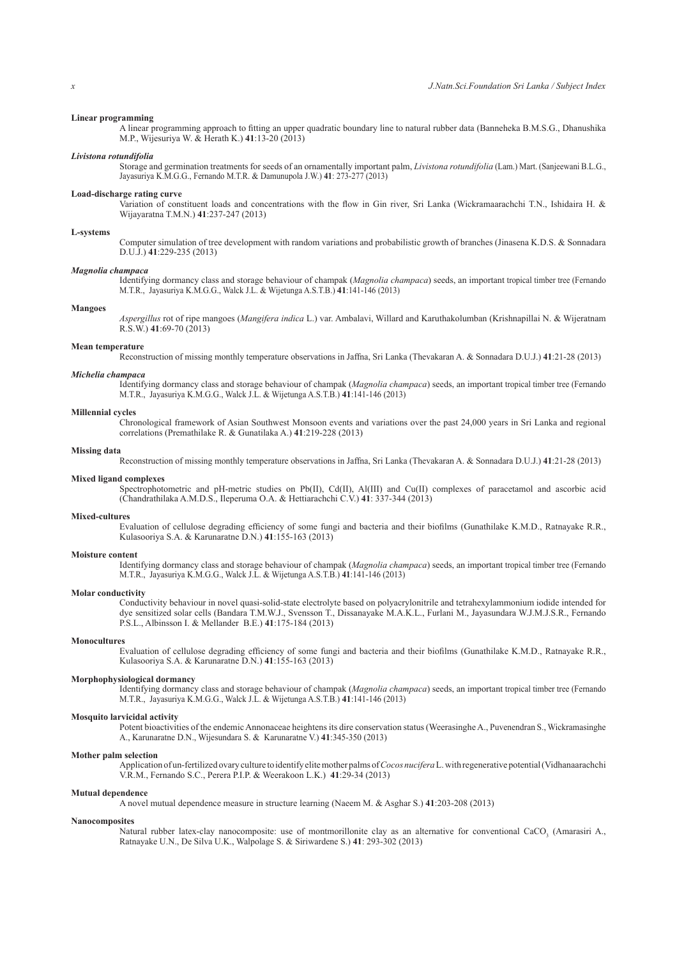# **Linear programming**

 A linear programming approach to fitting an upper quadratic boundary line to natural rubber data (Banneheka B.M.S.G., Dhanushika M.P., Wijesuriya W. & Herath K.) **41**:13-20 (2013)

# *Livistona rotundifolia*

 Storage and germination treatments for seeds of an ornamentally important palm, *Livistona rotundifolia* (Lam.) Mart. (Sanjeewani B.L.G., Jayasuriya K.M.G.G., Fernando M.T.R. & Damunupola J.W.) **41**: 273-277 (2013)

# **Load-discharge rating curve**

 Variation of constituent loads and concentrations with the flow in Gin river, Sri Lanka (Wickramaarachchi T.N., Ishidaira H. & Wijayaratna T.M.N.) **41**:237-247 (2013)

# **L-systems**

 Computer simulation of tree development with random variations and probabilistic growth of branches (Jinasena K.D.S. & Sonnadara D.U.J.) **41**:229-235 (2013)

# *Magnolia champaca*

 Identifying dormancy class and storage behaviour of champak (*Magnolia champaca*) seeds, an important tropical timber tree (Fernando M.T.R., Jayasuriya K.M.G.G., Walck J.L. & Wijetunga A.S.T.B.) **41**:141-146 (2013)

#### **Mangoes**

*Aspergillus* rot of ripe mangoes (*Mangifera indica* L.) var. Ambalavi, Willard and Karuthakolumban (Krishnapillai N. & Wijeratnam R.S.W.) **41**:69-70 (2013)

#### **Mean temperature**

Reconstruction of missing monthly temperature observations in Jaffna, Sri Lanka (Thevakaran A. & Sonnadara D.U.J.) **41**:21-28 (2013)

#### *Michelia champaca*

 Identifying dormancy class and storage behaviour of champak (*Magnolia champaca*) seeds, an important tropical timber tree (Fernando M.T.R., Jayasuriya K.M.G.G., Walck J.L. & Wijetunga A.S.T.B.) **41**:141-146 (2013)

#### **Millennial cycles**

 Chronological framework of Asian Southwest Monsoon events and variations over the past 24,000 years in Sri Lanka and regional correlations (Premathilake R. & Gunatilaka A.) **41**:219-228 (2013)

#### **Missing data**

Reconstruction of missing monthly temperature observations in Jaffna, Sri Lanka (Thevakaran A. & Sonnadara D.U.J.) **41**:21-28 (2013)

# **Mixed ligand complexes**

 Spectrophotometric and pH-metric studies on Pb(II), Cd(II), Al(III) and Cu(II) complexes of paracetamol and ascorbic acid (Chandrathilaka A.M.D.S., Ileperuma O.A. & Hettiarachchi C.V.) **41**: 337-344 (2013)

# **Mixed-cultures**

 Evaluation of cellulose degrading efficiency of some fungi and bacteria and their biofilms (Gunathilake K.M.D., Ratnayake R.R., Kulasooriya S.A. & Karunaratne D.N.) **41**:155-163 (2013)

# **Moisture content**

 Identifying dormancy class and storage behaviour of champak (*Magnolia champaca*) seeds, an important tropical timber tree (Fernando M.T.R., Jayasuriya K.M.G.G., Walck J.L. & Wijetunga A.S.T.B.) **41**:141-146 (2013)

#### **Molar conductivity**

 Conductivity behaviour in novel quasi-solid-state electrolyte based on polyacrylonitrile and tetrahexylammonium iodide intended for dye sensitized solar cells (Bandara T.M.W.J., Svensson T., Dissanayake M.A.K.L., Furlani M., Jayasundara W.J.M.J.S.R., Fernando P.S.L., Albinsson I. & Mellander B.E.) **41**:175-184 (2013)

# **Monocultures**

 Evaluation of cellulose degrading efficiency of some fungi and bacteria and their biofilms (Gunathilake K.M.D., Ratnayake R.R., Kulasooriya S.A. & Karunaratne D.N.) **41**:155-163 (2013)

# **Morphophysiological dormancy**

 Identifying dormancy class and storage behaviour of champak (*Magnolia champaca*) seeds, an important tropical timber tree (Fernando M.T.R., Jayasuriya K.M.G.G., Walck J.L. & Wijetunga A.S.T.B.) **41**:141-146 (2013)

#### **Mosquito larvicidal activity**

 Potent bioactivities of the endemic Annonaceae heightens its dire conservation status (Weerasinghe A., Puvenendran S., Wickramasinghe A., Karunaratne D.N., Wijesundara S. & Karunaratne V.) **41**:345-350 (2013)

# **Mother palm selection**

 Application of un-fertilized ovary culture to identify elite mother palms of *Cocos nucifera* L. with regenerative potential (Vidhanaarachchi V.R.M., Fernando S.C., Perera P.I.P. & Weerakoon L.K.) **41**:29-34 (2013)

#### **Mutual dependence**

A novel mutual dependence measure in structure learning (Naeem M. & Asghar S.) **41**:203-208 (2013)

#### **Nanocomposites**

Natural rubber latex-clay nanocomposite: use of montmorillonite clay as an alternative for conventional CaCO<sub>3</sub> (Amarasiri A., Ratnayake U.N., De Silva U.K., Walpolage S. & Siriwardene S.) **41**: 293-302 (2013)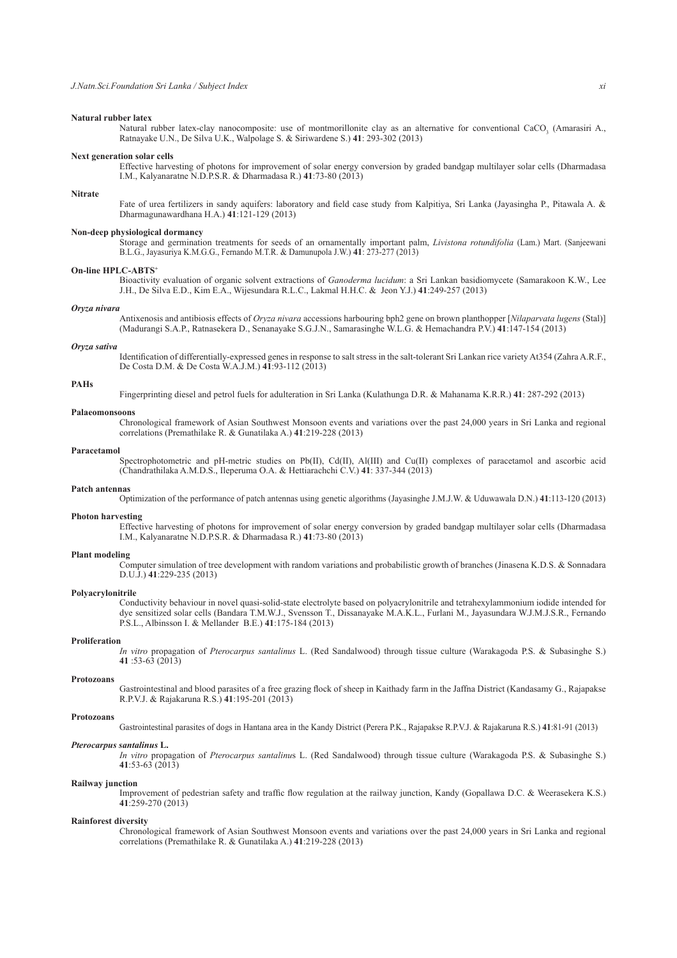# **Natural rubber latex**

Natural rubber latex-clay nanocomposite: use of montmorillonite clay as an alternative for conventional CaCO<sub>3</sub> (Amarasiri A., Ratnayake U.N., De Silva U.K., Walpolage S. & Siriwardene S.) **41**: 293-302 (2013)

# **Next generation solar cells**

 Effective harvesting of photons for improvement of solar energy conversion by graded bandgap multilayer solar cells (Dharmadasa I.M., Kalyanaratne N.D.P.S.R. & Dharmadasa R.) **41**:73-80 (2013)

# **Nitrate**

Fate of urea fertilizers in sandy aquifers: laboratory and field case study from Kalpitiya, Sri Lanka (Jayasingha P., Pitawala A. & Dharmagunawardhana H.A.) **41**:121-129 (2013)

# **Non-deep physiological dormancy**

 Storage and germination treatments for seeds of an ornamentally important palm, *Livistona rotundifolia* (Lam.) Mart. (Sanjeewani B.L.G., Jayasuriya K.M.G.G., Fernando M.T.R. & Damunupola J.W.) **41**: 273-277 (2013)

# **On-line HPLC-ABTS<sup>+</sup>**

 Bioactivity evaluation of organic solvent extractions of *Ganoderma lucidum*: a Sri Lankan basidiomycete (Samarakoon K.W., Lee J.H., De Silva E.D., Kim E.A., Wijesundara R.L.C., Lakmal H.H.C. & Jeon Y.J.) **41**:249-257 (2013)

#### *Oryza nivara*

 Antixenosis and antibiosis effects of *Oryza nivara* accessions harbouring bph2 gene on brown planthopper [*Nilaparvata lugens* (Stal)] (Madurangi S.A.P., Ratnasekera D., Senanayake S.G.J.N., Samarasinghe W.L.G. & Hemachandra P.V.) **41**:147-154 (2013)

#### *Oryza sativa*

 Identification of differentially-expressed genes in response to salt stress in the salt-tolerant Sri Lankan rice variety At354 (Zahra A.R.F., De Costa D.M. & De Costa W.A.J.M.) **41**:93-112 (2013)

# **PAHs**

Fingerprinting diesel and petrol fuels for adulteration in Sri Lanka (Kulathunga D.R. & Mahanama K.R.R.) **41**: 287-292 (2013)

# **Palaeomonsoons**

 Chronological framework of Asian Southwest Monsoon events and variations over the past 24,000 years in Sri Lanka and regional correlations (Premathilake R. & Gunatilaka A.) **41**:219-228 (2013)

#### **Paracetamol**

 Spectrophotometric and pH-metric studies on Pb(II), Cd(II), Al(III) and Cu(II) complexes of paracetamol and ascorbic acid (Chandrathilaka A.M.D.S., Ileperuma O.A. & Hettiarachchi C.V.) **41**: 337-344 (2013)

# **Patch antennas**

Optimization of the performance of patch antennas using genetic algorithms (Jayasinghe J.M.J.W. & Uduwawala D.N.) **41**:113-120 (2013)

# **Photon harvesting**

 Effective harvesting of photons for improvement of solar energy conversion by graded bandgap multilayer solar cells (Dharmadasa I.M., Kalyanaratne N.D.P.S.R. & Dharmadasa R.) **41**:73-80 (2013)

# **Plant modeling**

 Computer simulation of tree development with random variations and probabilistic growth of branches (Jinasena K.D.S. & Sonnadara D.U.J.) **41**:229-235 (2013)

# **Polyacrylonitrile**

 Conductivity behaviour in novel quasi-solid-state electrolyte based on polyacrylonitrile and tetrahexylammonium iodide intended for dye sensitized solar cells (Bandara T.M.W.J., Svensson T., Dissanayake M.A.K.L., Furlani M., Jayasundara W.J.M.J.S.R., Fernando P.S.L., Albinsson I. & Mellander B.E.) **41**:175-184 (2013)

# **Proliferation**

*In vitro* propagation of *Pterocarpus santalinus* L. (Red Sandalwood) through tissue culture (Warakagoda P.S. & Subasinghe S.) **41** :53-63 (2013)

#### **Protozoans**

 Gastrointestinal and blood parasites of a free grazing flock of sheep in Kaithady farm in the Jaffna District (Kandasamy G., Rajapakse R.P.V.J. & Rajakaruna R.S.) **41**:195-201 (2013)

#### **Protozoans**

Gastrointestinal parasites of dogs in Hantana area in the Kandy District (Perera P.K., Rajapakse R.P.V.J. & Rajakaruna R.S.) **41**:81-91 (2013)

# *Pterocarpus santalinus* **L.**

*In vitro* propagation of *Pterocarpus santalinu*s L. (Red Sandalwood) through tissue culture (Warakagoda P.S. & Subasinghe S.) **41**:53-63 (2013)

# **Railway junction**

 Improvement of pedestrian safety and traffic flow regulation at the railway junction, Kandy (Gopallawa D.C. & Weerasekera K.S.) **41**:259-270 (2013)

# **Rainforest diversity**

 Chronological framework of Asian Southwest Monsoon events and variations over the past 24,000 years in Sri Lanka and regional correlations (Premathilake R. & Gunatilaka A.) **41**:219-228 (2013)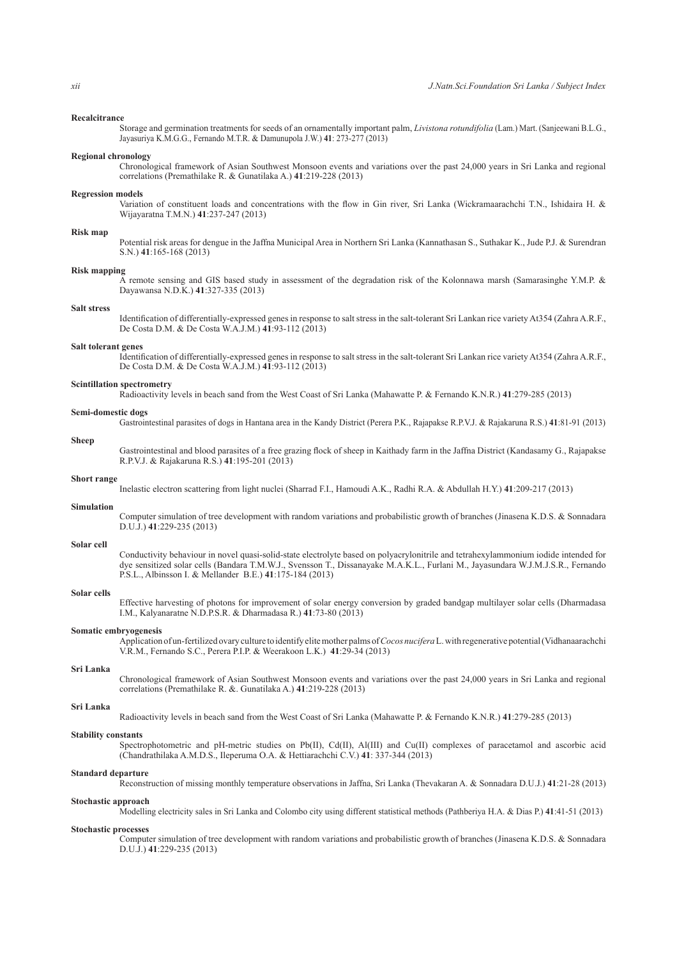# **Recalcitrance**

 Storage and germination treatments for seeds of an ornamentally important palm, *Livistona rotundifolia* (Lam.) Mart. (Sanjeewani B.L.G., Jayasuriya K.M.G.G., Fernando M.T.R. & Damunupola J.W.) **41**: 273-277 (2013)

# **Regional chronology**

 Chronological framework of Asian Southwest Monsoon events and variations over the past 24,000 years in Sri Lanka and regional correlations (Premathilake R. & Gunatilaka A.) **41**:219-228 (2013)

# **Regression models**

 Variation of constituent loads and concentrations with the flow in Gin river, Sri Lanka (Wickramaarachchi T.N., Ishidaira H. & Wijayaratna T.M.N.) **41**:237-247 (2013)

# **Risk map**

 Potential risk areas for dengue in the Jaffna Municipal Area in Northern Sri Lanka (Kannathasan S., Suthakar K., Jude P.J. & Surendran S.N.) **41**:165-168 (2013)

#### **Risk mapping**

 A remote sensing and GIS based study in assessment of the degradation risk of the Kolonnawa marsh (Samarasinghe Y.M.P. & Dayawansa N.D.K.) **41**:327-335 (2013)

#### **Salt stress**

 Identification of differentially-expressed genes in response to salt stress in the salt-tolerant Sri Lankan rice variety At354 (Zahra A.R.F., De Costa D.M. & De Costa W.A.J.M.) **41**:93-112 (2013)

#### **Salt tolerant genes**

 Identification of differentially-expressed genes in response to salt stress in the salt-tolerant Sri Lankan rice variety At354 (Zahra A.R.F., De Costa D.M. & De Costa W.A.J.M.) **41**:93-112 (2013)

# **Scintillation spectrometry**

Radioactivity levels in beach sand from the West Coast of Sri Lanka (Mahawatte P. & Fernando K.N.R.) **41**:279-285 (2013)

#### **Semi-domestic dogs**

Gastrointestinal parasites of dogs in Hantana area in the Kandy District (Perera P.K., Rajapakse R.P.V.J. & Rajakaruna R.S.) **41**:81-91 (2013)

# **Sheep**

 Gastrointestinal and blood parasites of a free grazing flock of sheep in Kaithady farm in the Jaffna District (Kandasamy G., Rajapakse R.P.V.J. & Rajakaruna R.S.) **41**:195-201 (2013)

# **Short range**

Inelastic electron scattering from light nuclei (Sharrad F.I., Hamoudi A.K., Radhi R.A. & Abdullah H.Y.) **41**:209-217 (2013)

# **Simulation**

#### **Solar cell**

 Conductivity behaviour in novel quasi-solid-state electrolyte based on polyacrylonitrile and tetrahexylammonium iodide intended for dye sensitized solar cells (Bandara T.M.W.J., Svensson T., Dissanayake M.A.K.L., Furlani M., Jayasundara W.J.M.J.S.R., Fernando P.S.L., Albinsson I. & Mellander B.E.) **41**:175-184 (2013)

Computer simulation of tree development with random variations and probabilistic growth of branches (Jinasena K.D.S. & Sonnadara

# **Solar cells**

 Effective harvesting of photons for improvement of solar energy conversion by graded bandgap multilayer solar cells (Dharmadasa I.M., Kalyanaratne N.D.P.S.R. & Dharmadasa R.) **41**:73-80 (2013)

#### **Somatic embryogenesis**

D.U.J.) **41**:229-235 (2013)

 Application of un-fertilized ovary culture to identify elite mother palms of *Cocos nucifera* L. with regenerative potential (Vidhanaarachchi V.R.M., Fernando S.C., Perera P.I.P. & Weerakoon L.K.) **41**:29-34 (2013)

#### **Sri Lanka**

 Chronological framework of Asian Southwest Monsoon events and variations over the past 24,000 years in Sri Lanka and regional correlations (Premathilake R. &. Gunatilaka A.) **41**:219-228 (2013)

# **Sri Lanka**

Radioactivity levels in beach sand from the West Coast of Sri Lanka (Mahawatte P. & Fernando K.N.R.) **41**:279-285 (2013)

#### **Stability constants**

 Spectrophotometric and pH-metric studies on Pb(II), Cd(II), Al(III) and Cu(II) complexes of paracetamol and ascorbic acid (Chandrathilaka A.M.D.S., Ileperuma O.A. & Hettiarachchi C.V.) **41**: 337-344 (2013)

#### **Standard departure**

Reconstruction of missing monthly temperature observations in Jaffna, Sri Lanka (Thevakaran A. & Sonnadara D.U.J.) **41**:21-28 (2013)

# **Stochastic approach**

Modelling electricity sales in Sri Lanka and Colombo city using different statistical methods (Pathberiya H.A. & Dias P.) **41**:41-51 (2013)

# **Stochastic processes**

 Computer simulation of tree development with random variations and probabilistic growth of branches (Jinasena K.D.S. & Sonnadara D.U.J.) **41**:229-235 (2013)